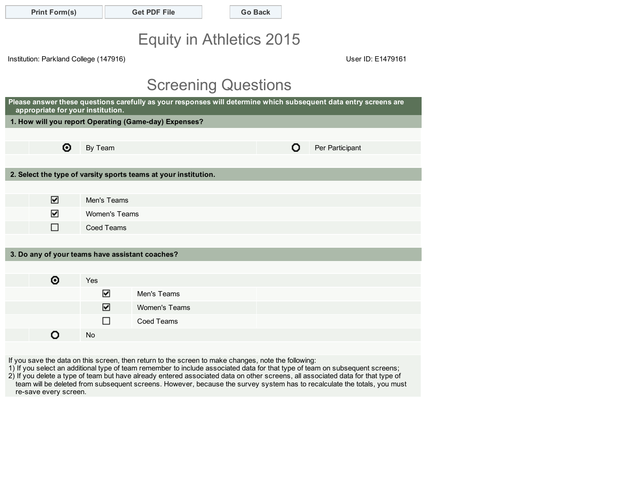|  | <b>Print Form(s)</b> |  |
|--|----------------------|--|
|--|----------------------|--|

#### Get PDF File Go Back

# Equity in Athletics 2015

Institution: Parkland College (147916)

User ID: E1479161

# Screening Questions

| Please answer these questions carefully as your responses will determine which subsequent data entry screens are<br>appropriate for your institution. |             |                                                                 |                      |  |  |  |  |  |  |
|-------------------------------------------------------------------------------------------------------------------------------------------------------|-------------|-----------------------------------------------------------------|----------------------|--|--|--|--|--|--|
|                                                                                                                                                       |             | 1. How will you report Operating (Game-day) Expenses?           |                      |  |  |  |  |  |  |
|                                                                                                                                                       |             |                                                                 |                      |  |  |  |  |  |  |
| ◉                                                                                                                                                     | By Team     |                                                                 | Per Participant<br>Ο |  |  |  |  |  |  |
|                                                                                                                                                       |             |                                                                 |                      |  |  |  |  |  |  |
|                                                                                                                                                       |             | 2. Select the type of varsity sports teams at your institution. |                      |  |  |  |  |  |  |
|                                                                                                                                                       |             |                                                                 |                      |  |  |  |  |  |  |
| ⊽                                                                                                                                                     | Men's Teams |                                                                 |                      |  |  |  |  |  |  |
| ✓                                                                                                                                                     |             | Women's Teams                                                   |                      |  |  |  |  |  |  |
| П                                                                                                                                                     | Coed Teams  |                                                                 |                      |  |  |  |  |  |  |
|                                                                                                                                                       |             |                                                                 |                      |  |  |  |  |  |  |
| 3. Do any of your teams have assistant coaches?                                                                                                       |             |                                                                 |                      |  |  |  |  |  |  |
|                                                                                                                                                       |             |                                                                 |                      |  |  |  |  |  |  |
| ◉                                                                                                                                                     | Yes         |                                                                 |                      |  |  |  |  |  |  |
|                                                                                                                                                       | ⊻           | Men's Teams                                                     |                      |  |  |  |  |  |  |
|                                                                                                                                                       | ☑           | Women's Teams                                                   |                      |  |  |  |  |  |  |
|                                                                                                                                                       |             | <b>Coed Teams</b>                                               |                      |  |  |  |  |  |  |
|                                                                                                                                                       | <b>No</b>   |                                                                 |                      |  |  |  |  |  |  |
|                                                                                                                                                       |             |                                                                 |                      |  |  |  |  |  |  |

If you save the data on this screen, then return to the screen to make changes, note the following:

1) If you select an additional type of team remember to include associated data for that type of team on subsequent screens; 2) If you delete a type of team but have already entered associated data on other screens, all associated data for that type of team will be deleted from subsequent screens. However, because the survey system has to recalculate the totals, you must re-save every screen.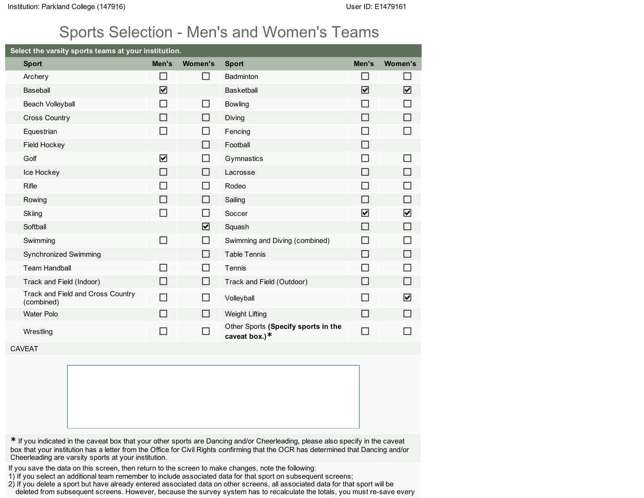#### Sports Selection - Men's and Women's Teams

| Select the varsity sports teams at your institution. |        |                |                                                      |        |                          |
|------------------------------------------------------|--------|----------------|------------------------------------------------------|--------|--------------------------|
| <b>Sport</b>                                         | Men's  | <b>Women's</b> | <b>Sport</b>                                         | Men's  | <b>Women's</b>           |
| Archery                                              | П      | $\Box$         | Badminton                                            | П      | $\overline{\phantom{a}}$ |
| Baseball                                             | ☑      |                | <b>Basketball</b>                                    | ☑      | ⊻                        |
| Beach Volleyball                                     | $\Box$ | $\Box$         | <b>Bowling</b>                                       | $\Box$ | П                        |
| <b>Cross Country</b>                                 | □      | □              | Diving                                               | $\Box$ | П                        |
| Equestrian                                           | $\Box$ | $\Box$         | Fencing                                              | П      | П                        |
| Field Hockey                                         |        | $\Box$         | Football                                             | $\Box$ |                          |
| Golf                                                 | Σ      | $\Box$         | Gymnastics                                           | П      | $\mathcal{L}$            |
| Ice Hockey                                           | □      | $\Box$         | Lacrosse                                             | $\Box$ | ۰                        |
| Rifle                                                | П      | $\Box$         | Rodeo                                                | П      | ┓                        |
| Rowing                                               | $\Box$ | □              | Sailing                                              | □      | П                        |
| Skiing                                               | $\Box$ | $\Box$         | Soccer                                               | ⊻      | Σ                        |
| Softball                                             |        | ⊻              | Squash                                               | $\Box$ | $\Box$                   |
| Swimming                                             | $\Box$ | $\Box$         | Swimming and Diving (combined)                       | П      | П                        |
| Synchronized Swimming                                |        | $\Box$         | <b>Table Tennis</b>                                  | $\Box$ | П                        |
| <b>Team Handball</b>                                 | П      | $\Box$         | Tennis                                               | П      | $\overline{\phantom{0}}$ |
| Track and Field (Indoor)                             | $\Box$ | $\Box$         | Track and Field (Outdoor)                            | $\Box$ | П                        |
| Track and Field and Cross Country<br>(combined)      | П      | □              | Volleyball                                           | П      | ☑                        |
| Water Polo                                           | П      | □              | <b>Weight Lifting</b>                                | $\Box$ | $\Box$                   |
| Wrestling                                            | П      | П              | Other Sports (Specify sports in the<br>caveat box.)* | $\Box$ | $\overline{\phantom{a}}$ |
| <b>CAVEAT</b>                                        |        |                |                                                      |        |                          |
|                                                      |        |                |                                                      |        |                          |

\* If you indicated in the caveat box that your other sports are Dancing and/or Cheerleading, please also specify in the caveat box that your institution has a letter from the Office for Civil Rights confirming that the OCR has determined that Dancing and/or Cheerleading are varsity sports at your institution.

If you save the data on this screen, then return to the screen to make changes, note the following:

- 1) If you select an additional team remember to include associated data for that sport on subsequent screens;
- 2) If you delete a sport but have already entered associated data on other screens, all associated data for that sport will be deleted from subsequent screens. However, because the survey system has to recalculate the totals, you must re-save every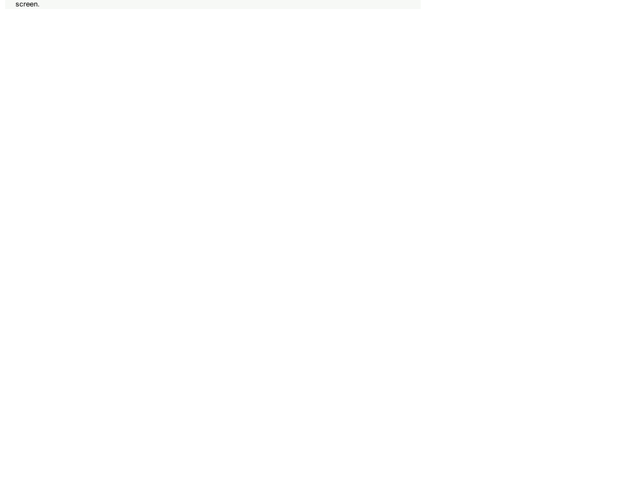screen.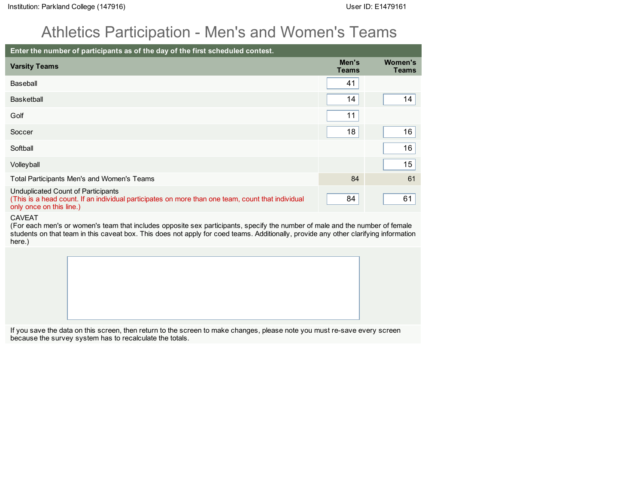#### Athletics Participation - Men's and Women's Teams

| Enter the number of participants as of the day of the first scheduled contest.                                                                                      |                       |                         |
|---------------------------------------------------------------------------------------------------------------------------------------------------------------------|-----------------------|-------------------------|
| <b>Varsity Teams</b>                                                                                                                                                | Men's<br><b>Teams</b> | Women's<br><b>Teams</b> |
| Baseball                                                                                                                                                            | 41                    |                         |
| Basketball                                                                                                                                                          | 14                    | 14                      |
| Golf                                                                                                                                                                | 11                    |                         |
| Soccer                                                                                                                                                              | 18                    | 16                      |
| Softball                                                                                                                                                            |                       | 16                      |
| Volleyball                                                                                                                                                          |                       | 15                      |
| Total Participants Men's and Women's Teams                                                                                                                          | 84                    | 61                      |
| Unduplicated Count of Participants<br>(This is a head count. If an individual participates on more than one team, count that individual<br>only once on this line.) | 84                    | 61                      |

#### CAVEAT

(For each men's or women's team that includes opposite sex participants, specify the number of male and the number of female students on that team in this caveat box. This does not apply for coed teams. Additionally, provide any other clarifying information here.)

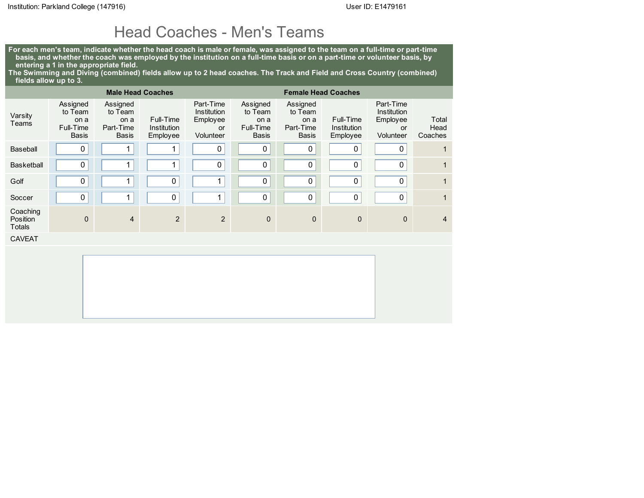#### Head Coaches - Men's Teams

For each men's team, indicate whether the head coach is male or female, was assigned to the team on a full-time or part-time basis, and whether the coach was employed by the institution on a full-time basis or on a part-time or volunteer basis, by entering a 1 in the appropriate field.

The Swimming and Diving (combined) fields allow up to 2 head coaches. The Track and Field and Cross Country (combined) fields allow up to 3.

|                                |                                                          | <b>Male Head Coaches</b>                                 |                                      |                                                                | <b>Female Head Coaches</b>                        |                                                   |                                      |                                                                       |                          |  |
|--------------------------------|----------------------------------------------------------|----------------------------------------------------------|--------------------------------------|----------------------------------------------------------------|---------------------------------------------------|---------------------------------------------------|--------------------------------------|-----------------------------------------------------------------------|--------------------------|--|
| Varsity<br>Teams               | Assigned<br>to Team<br>on a<br>Full-Time<br><b>Basis</b> | Assigned<br>to Team<br>on a<br>Part-Time<br><b>Basis</b> | Full-Time<br>Institution<br>Employee | Part-Time<br>Institution<br>Employee<br><b>or</b><br>Volunteer | Assigned<br>to Team<br>on a<br>Full-Time<br>Basis | Assigned<br>to Team<br>on a<br>Part-Time<br>Basis | Full-Time<br>Institution<br>Employee | Part-Time<br><b>Institution</b><br>Employee<br><b>or</b><br>Volunteer | Total<br>Head<br>Coaches |  |
| Baseball                       | 0                                                        | 1                                                        |                                      | 0                                                              | 0                                                 | 0                                                 | 0                                    | 0                                                                     | 1                        |  |
| <b>Basketball</b>              | 0                                                        | 1                                                        |                                      | 0                                                              | 0                                                 | $\pmb{0}$                                         | $\pmb{0}$                            | 0                                                                     | 1                        |  |
| Golf                           | 0                                                        | $\mathbf 1$                                              | 0                                    | 1                                                              | 0                                                 | $\pmb{0}$                                         | 0                                    | 0                                                                     | $\mathbf{1}$             |  |
| Soccer                         | 0                                                        | $\mathbf{1}$                                             | 0                                    | 1                                                              | $\mathbf 0$                                       | $\mathbf 0$                                       | 0                                    | 0                                                                     | 1                        |  |
| Coaching<br>Position<br>Totals | $\mathbf{0}$                                             | $\overline{4}$                                           | 2                                    | 2                                                              | $\mathbf 0$                                       | $\mathbf 0$                                       | $\mathbf 0$                          | $\mathbf{0}$                                                          | $\overline{4}$           |  |
| <b>CAVEAT</b>                  |                                                          |                                                          |                                      |                                                                |                                                   |                                                   |                                      |                                                                       |                          |  |
|                                |                                                          |                                                          |                                      |                                                                |                                                   |                                                   |                                      |                                                                       |                          |  |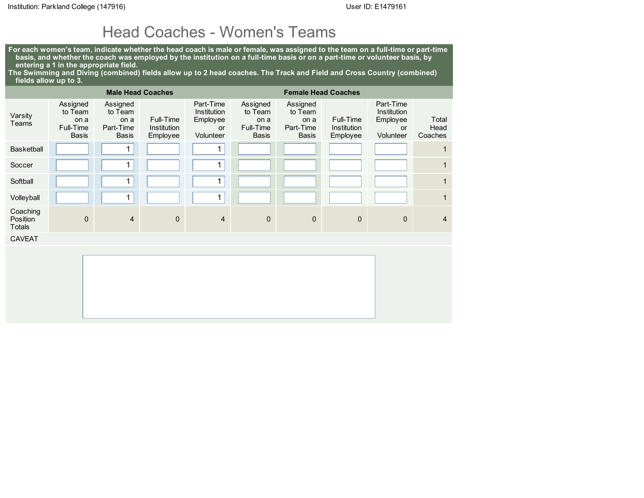#### Head Coaches - Women's Teams

For each women's team, indicate whether the head coach is male or female, was assigned to the team on a full-time or part-time basis, and whether the coach was employed by the institution on a full-time basis or on a part-time or volunteer basis, by entering a 1 in the appropriate field.

The Swimming and Diving (combined) fields allow up to 2 head coaches. The Track and Field and Cross Country (combined) fields allow up to 3.

|                                       |                                                          | <b>Male Head Coaches</b>                                 |                                      |                                                                | <b>Female Head Coaches</b>                        |                                                          |                                      |                                                                       |                          |  |
|---------------------------------------|----------------------------------------------------------|----------------------------------------------------------|--------------------------------------|----------------------------------------------------------------|---------------------------------------------------|----------------------------------------------------------|--------------------------------------|-----------------------------------------------------------------------|--------------------------|--|
| Varsity<br>Teams                      | Assigned<br>to Team<br>on a<br>Full-Time<br><b>Basis</b> | Assigned<br>to Team<br>on a<br>Part-Time<br><b>Basis</b> | Full-Time<br>Institution<br>Employee | Part-Time<br><b>Institution</b><br>Employee<br>or<br>Volunteer | Assigned<br>to Team<br>on a<br>Full-Time<br>Basis | Assigned<br>to Team<br>on a<br>Part-Time<br><b>Basis</b> | Full-Time<br>Institution<br>Employee | Part-Time<br><b>Institution</b><br>Employee<br><b>or</b><br>Volunteer | Total<br>Head<br>Coaches |  |
| <b>Basketball</b>                     |                                                          | $\mathbf{1}$                                             |                                      | 1                                                              |                                                   |                                                          |                                      |                                                                       | 1                        |  |
| Soccer                                |                                                          | 1                                                        |                                      | 4                                                              |                                                   |                                                          |                                      |                                                                       | 1                        |  |
| Softball                              |                                                          | 1                                                        |                                      | 1                                                              |                                                   |                                                          |                                      |                                                                       | $\mathbf{1}$             |  |
| Volleyball                            |                                                          | 1                                                        |                                      | 1                                                              |                                                   |                                                          |                                      |                                                                       | 1                        |  |
| Coaching<br>Position<br><b>Totals</b> | $\mathbf{0}$                                             | $\overline{4}$                                           | $\mathbf 0$                          | $\overline{4}$                                                 | $\mathbf{0}$                                      | $\mathbf 0$                                              | $\mathbf 0$                          | $\mathbf{0}$                                                          | $\overline{4}$           |  |
| <b>CAVEAT</b>                         |                                                          |                                                          |                                      |                                                                |                                                   |                                                          |                                      |                                                                       |                          |  |
|                                       |                                                          |                                                          |                                      |                                                                |                                                   |                                                          |                                      |                                                                       |                          |  |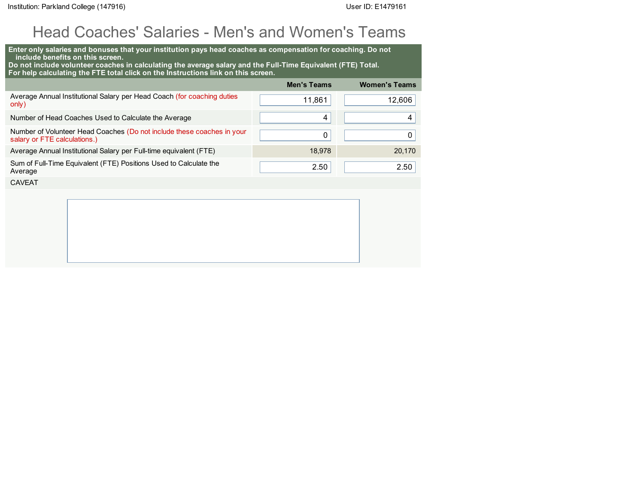# Head Coaches' Salaries - Men's and Women's Teams

| Enter only salaries and bonuses that your institution pays head coaches as compensation for coaching. Do not<br>include benefits on this screen.<br>Do not include volunteer coaches in calculating the average salary and the Full-Time Equivalent (FTE) Total.<br>For help calculating the FTE total click on the Instructions link on this screen. |                    |                      |
|-------------------------------------------------------------------------------------------------------------------------------------------------------------------------------------------------------------------------------------------------------------------------------------------------------------------------------------------------------|--------------------|----------------------|
|                                                                                                                                                                                                                                                                                                                                                       | <b>Men's Teams</b> | <b>Women's Teams</b> |
| Average Annual Institutional Salary per Head Coach (for coaching duties<br>only)                                                                                                                                                                                                                                                                      | 11,861             | 12,606               |
| Number of Head Coaches Used to Calculate the Average                                                                                                                                                                                                                                                                                                  | 4                  | 4                    |
| Number of Volunteer Head Coaches (Do not include these coaches in your<br>salary or FTE calculations.)                                                                                                                                                                                                                                                | 0                  | 0                    |
| Average Annual Institutional Salary per Full-time equivalent (FTE)                                                                                                                                                                                                                                                                                    | 18.978             | 20.170               |
| Sum of Full-Time Equivalent (FTE) Positions Used to Calculate the<br>Average                                                                                                                                                                                                                                                                          | 2.50               | 2.50                 |
| <b>CAVEAT</b>                                                                                                                                                                                                                                                                                                                                         |                    |                      |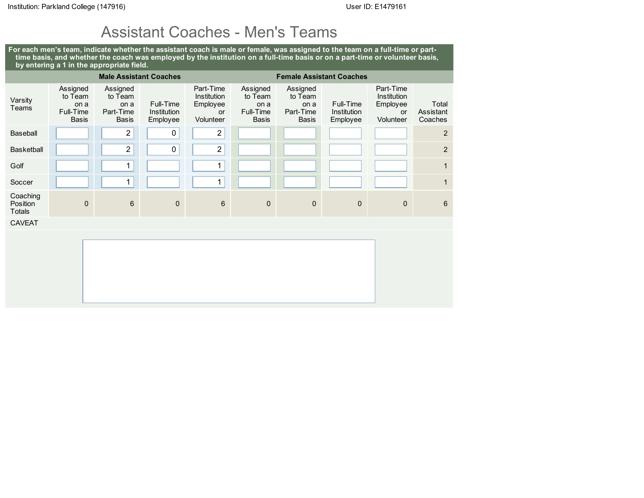#### Assistant Coaches - Men's Teams

For each men's team, indicate whether the assistant coach is male or female, was assigned to the team on a full-time or parttime basis, and whether the coach was employed by the institution on a full-time basis or on a part-time or volunteer basis, by entering a 1 in the appropriate field.

|                                       |                                                          |                                                          | <b>Male Assistant Coaches</b>        | <b>Female Assistant Coaches</b>                         |                                                   |                                                          |                                      |                                                         |                               |
|---------------------------------------|----------------------------------------------------------|----------------------------------------------------------|--------------------------------------|---------------------------------------------------------|---------------------------------------------------|----------------------------------------------------------|--------------------------------------|---------------------------------------------------------|-------------------------------|
| Varsity<br>Teams                      | Assigned<br>to Team<br>on a<br>Full-Time<br><b>Basis</b> | Assigned<br>to Team<br>on a<br>Part-Time<br><b>Basis</b> | Full-Time<br>Institution<br>Employee | Part-Time<br>Institution<br>Employee<br>or<br>Volunteer | Assigned<br>to Team<br>on a<br>Full-Time<br>Basis | Assigned<br>to Team<br>on a<br>Part-Time<br><b>Basis</b> | Full-Time<br>Institution<br>Employee | Part-Time<br>Institution<br>Employee<br>or<br>Volunteer | Total<br>Assistant<br>Coaches |
| Baseball                              |                                                          | $\sqrt{2}$                                               | 0                                    | $\overline{c}$                                          |                                                   |                                                          |                                      |                                                         | $\overline{2}$                |
| <b>Basketball</b>                     |                                                          | $\overline{2}$                                           | $\mathbf 0$                          | $\overline{2}$                                          |                                                   |                                                          |                                      |                                                         | $\overline{2}$                |
| Golf                                  |                                                          | 1                                                        |                                      | $\mathbf{1}$                                            |                                                   |                                                          |                                      |                                                         | $\mathbf{1}$                  |
| Soccer                                |                                                          | 1                                                        |                                      | $\mathbf{1}$                                            |                                                   |                                                          |                                      |                                                         | $\mathbf{1}$                  |
| Coaching<br>Position<br><b>Totals</b> | $\mathbf{0}$                                             | $6\phantom{1}$                                           | $\mathbf{0}$                         | $6\phantom{1}$                                          | $\bf 0$                                           | $\mathbf 0$                                              | $\mathbf{0}$                         | $\mathbf 0$                                             | $6\phantom{1}6$               |
| <b>CAVEAT</b>                         |                                                          |                                                          |                                      |                                                         |                                                   |                                                          |                                      |                                                         |                               |
|                                       |                                                          |                                                          |                                      |                                                         |                                                   |                                                          |                                      |                                                         |                               |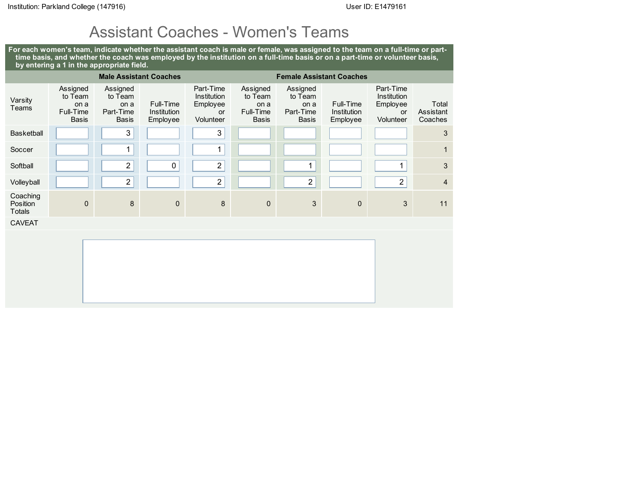## Assistant Coaches - Women's Teams

For each women's team, indicate whether the assistant coach is male or female, was assigned to the team on a full-time or parttime basis, and whether the coach was employed by the institution on a full-time basis or on a part-time or volunteer basis, by entering a 1 in the appropriate field.

| <b>Male Assistant Coaches</b><br><b>Female Assistant Coaches</b> |                                                          |                                                          |                                      |                                                         |                                                          |                                                          |                                      |                                                                |                               |
|------------------------------------------------------------------|----------------------------------------------------------|----------------------------------------------------------|--------------------------------------|---------------------------------------------------------|----------------------------------------------------------|----------------------------------------------------------|--------------------------------------|----------------------------------------------------------------|-------------------------------|
| Varsity<br>Teams                                                 | Assigned<br>to Team<br>on a<br>Full-Time<br><b>Basis</b> | Assigned<br>to Team<br>on a<br>Part-Time<br><b>Basis</b> | Full-Time<br>Institution<br>Employee | Part-Time<br>Institution<br>Employee<br>or<br>Volunteer | Assigned<br>to Team<br>on a<br>Full-Time<br><b>Basis</b> | Assigned<br>to Team<br>on a<br>Part-Time<br><b>Basis</b> | Full-Time<br>Institution<br>Employee | Part-Time<br>Institution<br>Employee<br><b>or</b><br>Volunteer | Total<br>Assistant<br>Coaches |
| Basketball                                                       |                                                          | $\mathfrak{S}$                                           |                                      | 3                                                       |                                                          |                                                          |                                      |                                                                | 3                             |
| Soccer                                                           |                                                          | 1                                                        |                                      | 1                                                       |                                                          |                                                          |                                      |                                                                | $\mathbf{1}$                  |
| Softball                                                         |                                                          | $\overline{c}$                                           | 0                                    | $\overline{\mathbf{c}}$                                 |                                                          | 1                                                        |                                      | 1                                                              | $\mathbf{3}$                  |
| Volleyball                                                       |                                                          | $\sqrt{2}$                                               |                                      | $\overline{c}$                                          |                                                          | $\sqrt{2}$                                               |                                      | $\overline{2}$                                                 | $\overline{4}$                |
| Coaching<br>Position<br><b>Totals</b>                            | $\mathbf 0$                                              | 8                                                        | $\mathbf 0$                          | 8                                                       | $\mathbf 0$                                              | 3                                                        | $\mathbf 0$                          | 3                                                              | 11                            |
| <b>CAVEAT</b>                                                    |                                                          |                                                          |                                      |                                                         |                                                          |                                                          |                                      |                                                                |                               |
|                                                                  |                                                          |                                                          |                                      |                                                         |                                                          |                                                          |                                      |                                                                |                               |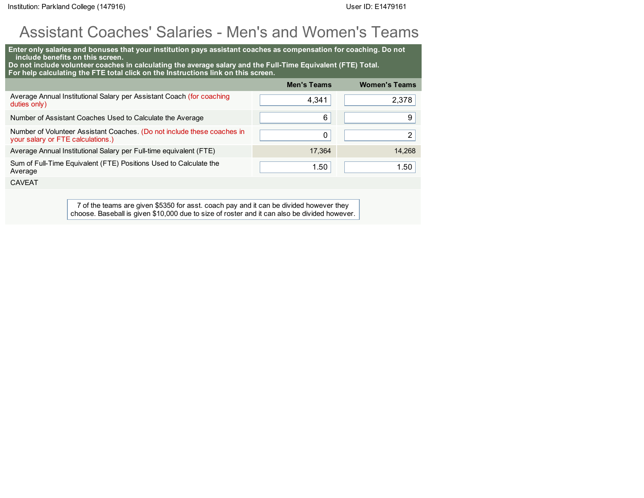### Assistant Coaches' Salaries - Men's and Women's Teams

| Enter only salaries and bonuses that your institution pays assistant coaches as compensation for coaching. Do not<br>include benefits on this screen.<br>Do not include volunteer coaches in calculating the average salary and the Full-Time Equivalent (FTE) Total.<br>For help calculating the FTE total click on the Instructions link on this screen. |                    |                      |  |  |  |  |  |
|------------------------------------------------------------------------------------------------------------------------------------------------------------------------------------------------------------------------------------------------------------------------------------------------------------------------------------------------------------|--------------------|----------------------|--|--|--|--|--|
|                                                                                                                                                                                                                                                                                                                                                            | <b>Men's Teams</b> | <b>Women's Teams</b> |  |  |  |  |  |
| Average Annual Institutional Salary per Assistant Coach (for coaching<br>duties only)                                                                                                                                                                                                                                                                      | 4,341              | 2,378                |  |  |  |  |  |
| Number of Assistant Coaches Used to Calculate the Average                                                                                                                                                                                                                                                                                                  | 6                  | 9                    |  |  |  |  |  |
| Number of Volunteer Assistant Coaches. (Do not include these coaches in<br>your salary or FTE calculations.)                                                                                                                                                                                                                                               | 0                  | 2                    |  |  |  |  |  |
| Average Annual Institutional Salary per Full-time equivalent (FTE)                                                                                                                                                                                                                                                                                         | 17.364             | 14.268               |  |  |  |  |  |
| Sum of Full-Time Equivalent (FTE) Positions Used to Calculate the<br>Average                                                                                                                                                                                                                                                                               | 1.50               | 1.50                 |  |  |  |  |  |
| <b>CAVEAT</b>                                                                                                                                                                                                                                                                                                                                              |                    |                      |  |  |  |  |  |
|                                                                                                                                                                                                                                                                                                                                                            |                    |                      |  |  |  |  |  |

7 of the teams are given \$5350 for asst. coach pay and it can be divided however they choose. Baseball is given \$10,000 due to size of roster and it can also be divided however.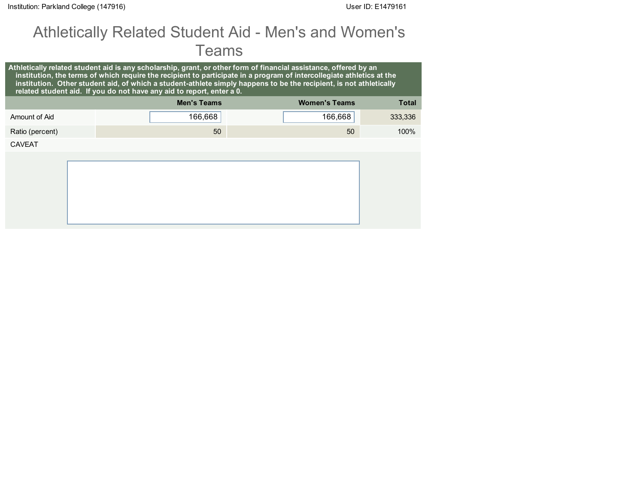## Athletically Related Student Aid - Men's and Women's Teams

|                 | related student aid. If you do not have any aid to report, enter a 0. | Athletically related student aid is any scholarship, grant, or other form of financial assistance, offered by an<br>institution, the terms of which require the recipient to participate in a program of intercollegiate athletics at the<br>institution. Other student aid, of which a student-athlete simply happens to be the recipient, is not athletically |              |
|-----------------|-----------------------------------------------------------------------|-----------------------------------------------------------------------------------------------------------------------------------------------------------------------------------------------------------------------------------------------------------------------------------------------------------------------------------------------------------------|--------------|
|                 | <b>Men's Teams</b>                                                    | <b>Women's Teams</b>                                                                                                                                                                                                                                                                                                                                            | <b>Total</b> |
| Amount of Aid   | 166,668                                                               | 166,668                                                                                                                                                                                                                                                                                                                                                         | 333,336      |
| Ratio (percent) | 50                                                                    | 50                                                                                                                                                                                                                                                                                                                                                              | 100%         |
| <b>CAVEAT</b>   |                                                                       |                                                                                                                                                                                                                                                                                                                                                                 |              |
|                 |                                                                       |                                                                                                                                                                                                                                                                                                                                                                 |              |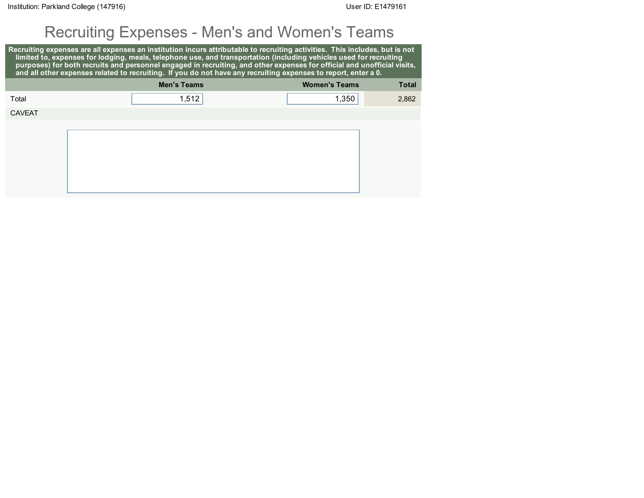## Recruiting Expenses - Men's and Women's Teams

Recruiting expenses are all expenses an institution incurs attributable to recruiting activities. This includes, but is not limited to, expenses for lodging, meals, telephone use, and transportation (including vehicles used for recruiting purposes) for both recruits and personnel engaged in recruiting, and other expenses for official and unofficial visits, and all other expenses related to recruiting. If you do not have any recruiting expenses to report, enter a 0. Men's Teams Women's Teams Total Total 1,512 1,350 2,862 CAVEAT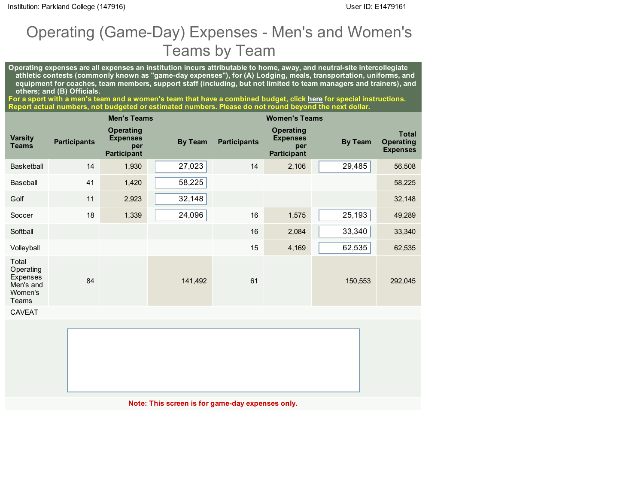## Operating (Game-Day) Expenses - Men's and Women's Teams by Team

Operating expenses are all expenses an institution incurs attributable to home, away, and neutral-site intercollegiate athletic contests (commonly known as "game-day expenses"), for (A) Lodging, meals, transportation, uniforms, and equipment for coaches, team members, support staff (including, but not limited to team managers and trainers), and others; and (B) Officials.

For a sport with a men's team and a women's team that have a combined budget, click <u>[here](javascript:openInstructionPdf()</u> for special instructions. Report actual numbers, not budgeted or estimated numbers. Please do not round beyond the next dollar.

|                                                                 |                     | <b>Men's Teams</b>                                        |                |                     | <b>Women's Teams</b>                                             |                |                                                     |
|-----------------------------------------------------------------|---------------------|-----------------------------------------------------------|----------------|---------------------|------------------------------------------------------------------|----------------|-----------------------------------------------------|
| <b>Varsity</b><br><b>Teams</b>                                  | <b>Participants</b> | Operating<br><b>Expenses</b><br>per<br><b>Participant</b> | <b>By Team</b> | <b>Participants</b> | <b>Operating</b><br><b>Expenses</b><br>per<br><b>Participant</b> | <b>By Team</b> | <b>Total</b><br><b>Operating</b><br><b>Expenses</b> |
| <b>Basketball</b>                                               | 14                  | 1,930                                                     | 27,023         | 14                  | 2,106                                                            | 29,485         | 56,508                                              |
| Baseball                                                        | 41                  | 1,420                                                     | 58,225         |                     |                                                                  |                | 58,225                                              |
| Golf                                                            | 11                  | 2,923                                                     | 32,148         |                     |                                                                  |                | 32,148                                              |
| Soccer                                                          | 18                  | 1,339                                                     | 24,096         | 16                  | 1,575                                                            | 25,193         | 49,289                                              |
| Softball                                                        |                     |                                                           |                | 16                  | 2,084                                                            | 33,340         | 33,340                                              |
| Volleyball                                                      |                     |                                                           |                | 15                  | 4,169                                                            | 62,535         | 62,535                                              |
| Total<br>Operating<br>Expenses<br>Men's and<br>Women's<br>Teams | 84                  |                                                           | 141,492        | 61                  |                                                                  | 150,553        | 292,045                                             |
| <b>CAVEAT</b>                                                   |                     |                                                           |                |                     |                                                                  |                |                                                     |

Note: This screen is for game-day expenses only.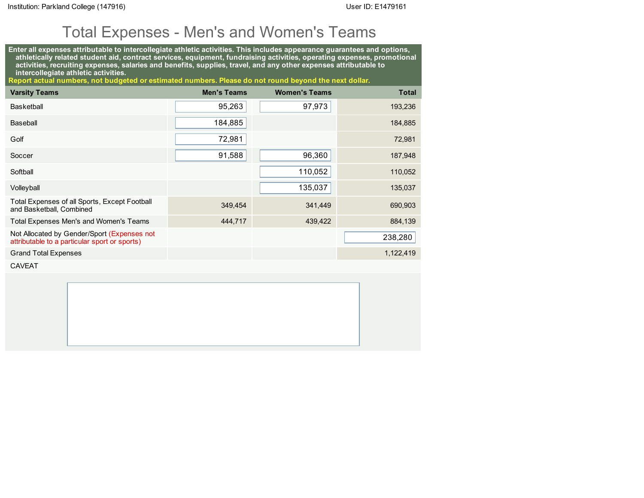# Total Expenses - Men's and Women's Teams

Enter all expenses attributable to intercollegiate athletic activities. This includes appearance guarantees and options, athletically related student aid, contract services, equipment, fundraising activities, operating expenses, promotional activities, recruiting expenses, salaries and benefits, supplies, travel, and any other expenses attributable to intercollegiate athletic activities.

Report actual numbers, not budgeted or estimated numbers. Please do not round beyond the next dollar.

| <b>Varsity Teams</b>                                                                         | <b>Men's Teams</b> | <b>Women's Teams</b> | <b>Total</b> |
|----------------------------------------------------------------------------------------------|--------------------|----------------------|--------------|
| Basketball                                                                                   | 95,263             | 97,973               | 193,236      |
| Baseball                                                                                     | 184,885            |                      | 184,885      |
| Golf                                                                                         | 72,981             |                      | 72,981       |
| Soccer                                                                                       | 91,588             | 96,360               | 187,948      |
| Softball                                                                                     |                    | 110,052              | 110,052      |
| Volleyball                                                                                   |                    | 135,037              | 135,037      |
| Total Expenses of all Sports, Except Football<br>and Basketball, Combined                    | 349,454            | 341,449              | 690,903      |
| Total Expenses Men's and Women's Teams                                                       | 444,717            | 439,422              | 884,139      |
| Not Allocated by Gender/Sport (Expenses not<br>attributable to a particular sport or sports) |                    |                      | 238,280      |
| <b>Grand Total Expenses</b>                                                                  |                    |                      | 1,122,419    |

CAVEAT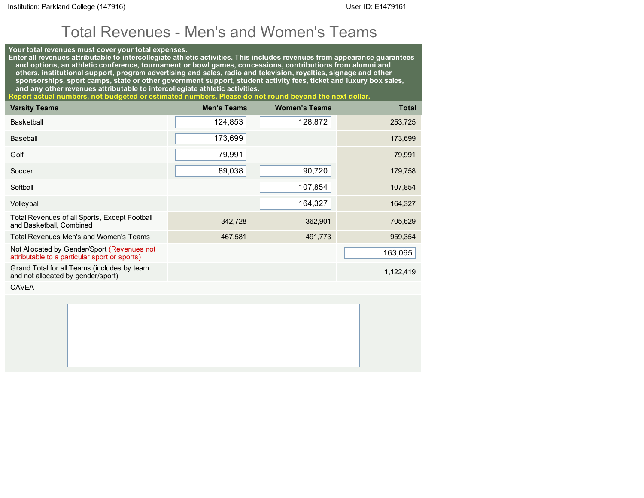### Total Revenues - Men's and Women's Teams

#### Your total revenues must cover your total expenses.

Enter all revenues attributable to intercollegiate athletic activities. This includes revenues from appearance guarantees and options, an athletic conference, tournament or bowl games, concessions, contributions from alumni and others, institutional support, program advertising and sales, radio and television, royalties, signage and other sponsorships, sport camps, state or other government support, student activity fees, ticket and luxury box sales, and any other revenues attributable to intercollegiate athletic activities.

Report actual numbers, not budgeted or estimated numbers. Please do not round beyond the next dollar.

| <b>Varsity Teams</b>                                                                         | <b>Men's Teams</b> | <b>Women's Teams</b> | <b>Total</b> |
|----------------------------------------------------------------------------------------------|--------------------|----------------------|--------------|
| <b>Basketball</b>                                                                            | 124,853            | 128,872              | 253,725      |
| Baseball                                                                                     | 173,699            |                      | 173,699      |
| Golf                                                                                         | 79,991             |                      | 79,991       |
| Soccer                                                                                       | 89,038             | 90,720               | 179,758      |
| Softball                                                                                     |                    | 107,854              | 107,854      |
| Volleyball                                                                                   |                    | 164,327              | 164,327      |
| Total Revenues of all Sports, Except Football<br>and Basketball, Combined                    | 342,728            | 362,901              | 705,629      |
| Total Revenues Men's and Women's Teams                                                       | 467,581            | 491,773              | 959,354      |
| Not Allocated by Gender/Sport (Revenues not<br>attributable to a particular sport or sports) |                    |                      | 163,065      |
| Grand Total for all Teams (includes by team<br>and not allocated by gender/sport)            |                    |                      | 1,122,419    |

CAVEAT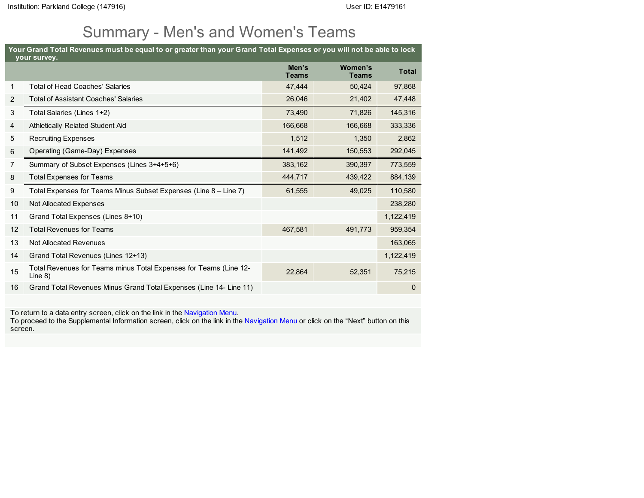# Summary - Men's and Women's Teams

| Your Grand Total Revenues must be equal to or greater than your Grand Total Expenses or you will not be able to lock<br>your survey. |                                                                                 |                       |                                |             |  |  |
|--------------------------------------------------------------------------------------------------------------------------------------|---------------------------------------------------------------------------------|-----------------------|--------------------------------|-------------|--|--|
|                                                                                                                                      |                                                                                 | Men's<br><b>Teams</b> | <b>Women's</b><br><b>Teams</b> | Total       |  |  |
| $\mathbf{1}$                                                                                                                         | <b>Total of Head Coaches' Salaries</b>                                          | 47,444                | 50,424                         | 97,868      |  |  |
| 2                                                                                                                                    | <b>Total of Assistant Coaches' Salaries</b>                                     | 26,046                | 21,402                         | 47,448      |  |  |
| 3                                                                                                                                    | Total Salaries (Lines 1+2)                                                      | 73,490                | 71,826                         | 145,316     |  |  |
| 4                                                                                                                                    | Athletically Related Student Aid                                                | 166,668               | 166,668                        | 333,336     |  |  |
| 5                                                                                                                                    | <b>Recruiting Expenses</b>                                                      | 1,512                 | 1,350                          | 2,862       |  |  |
| 6                                                                                                                                    | Operating (Game-Day) Expenses                                                   | 141,492               | 150,553                        | 292,045     |  |  |
| $\overline{7}$                                                                                                                       | Summary of Subset Expenses (Lines 3+4+5+6)                                      | 383,162               | 390,397                        | 773,559     |  |  |
| 8                                                                                                                                    | <b>Total Expenses for Teams</b>                                                 | 444,717               | 439,422                        | 884,139     |  |  |
| 9                                                                                                                                    | Total Expenses for Teams Minus Subset Expenses (Line 8 – Line 7)                | 61,555                | 49,025                         | 110,580     |  |  |
| 10                                                                                                                                   | Not Allocated Expenses                                                          |                       |                                | 238,280     |  |  |
| 11                                                                                                                                   | Grand Total Expenses (Lines 8+10)                                               |                       |                                | 1,122,419   |  |  |
| 12                                                                                                                                   | <b>Total Revenues for Teams</b>                                                 | 467,581               | 491,773                        | 959,354     |  |  |
| 13                                                                                                                                   | Not Allocated Revenues                                                          |                       |                                | 163,065     |  |  |
| 14                                                                                                                                   | Grand Total Revenues (Lines 12+13)                                              |                       |                                | 1,122,419   |  |  |
| 15                                                                                                                                   | Total Revenues for Teams minus Total Expenses for Teams (Line 12-<br>Line $8$ ) | 22,864                | 52,351                         | 75,215      |  |  |
| 16                                                                                                                                   | Grand Total Revenues Minus Grand Total Expenses (Line 14- Line 11)              |                       |                                | $\mathbf 0$ |  |  |

To return to a data entry screen, click on the link in the Navigation Menu.

To proceed to the Supplemental Information screen, click on the link in the Navigation Menu or click on the "Next" button on this screen.